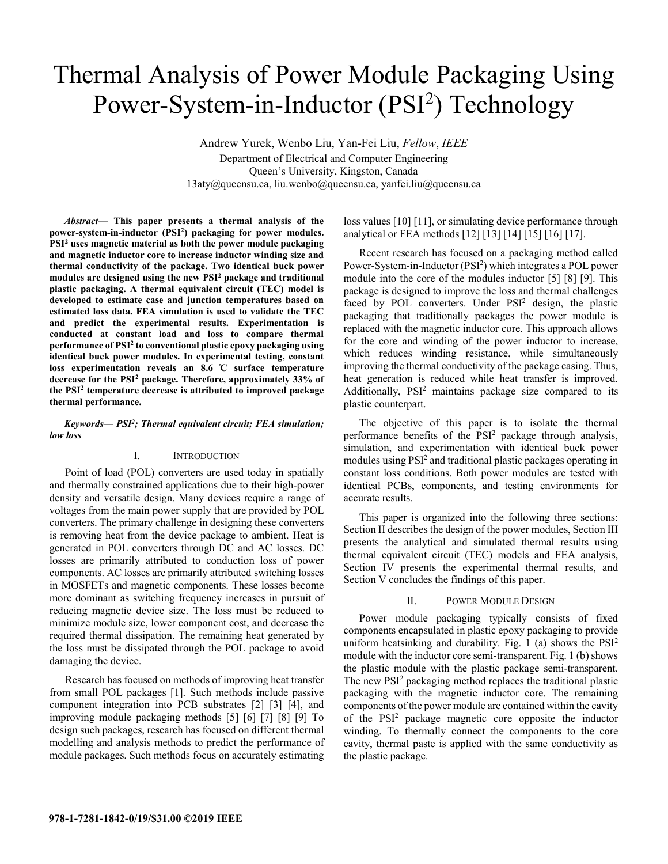# Thermal Analysis of Power Module Packaging Using Power-System-in-Inductor (PSI<sup>2</sup>) Technology

Andrew Yurek, Wenbo Liu, Yan-Fei Liu, *Fellow*, *IEEE* Department of Electrical and Computer Engineering Queen's University, Kingston, Canada 13aty@queensu.ca, liu.wenbo@queensu.ca, yanfei.liu@queensu.ca

*Abstract***— This paper presents a thermal analysis of the power-system-in-inductor (PSI2) packaging for power modules. PSI2 uses magnetic material as both the power module packaging and magnetic inductor core to increase inductor winding size and thermal conductivity of the package. Two identical buck power modules are designed using the new PSI2 package and traditional plastic packaging. A thermal equivalent circuit (TEC) model is developed to estimate case and junction temperatures based on estimated loss data. FEA simulation is used to validate the TEC and predict the experimental results. Experimentation is conducted at constant load and loss to compare thermal performance of PSI2 to conventional plastic epoxy packaging using identical buck power modules. In experimental testing, constant loss experimentation reveals an 8.6 ̊C surface temperature decrease for the PSI2 package. Therefore, approximately 33% of the PSI2 temperature decrease is attributed to improved package thermal performance.** 

*Keywords— PSI2; Thermal equivalent circuit; FEA simulation; low loss* 

#### I. INTRODUCTION

Point of load (POL) converters are used today in spatially and thermally constrained applications due to their high-power density and versatile design. Many devices require a range of voltages from the main power supply that are provided by POL converters. The primary challenge in designing these converters is removing heat from the device package to ambient. Heat is generated in POL converters through DC and AC losses. DC losses are primarily attributed to conduction loss of power components. AC losses are primarily attributed switching losses in MOSFETs and magnetic components. These losses become more dominant as switching frequency increases in pursuit of reducing magnetic device size. The loss must be reduced to minimize module size, lower component cost, and decrease the required thermal dissipation. The remaining heat generated by the loss must be dissipated through the POL package to avoid damaging the device.

Research has focused on methods of improving heat transfer from small POL packages [1]. Such methods include passive component integration into PCB substrates [2] [3] [4], and improving module packaging methods [5] [6] [7] [8] [9] To design such packages, research has focused on different thermal modelling and analysis methods to predict the performance of module packages. Such methods focus on accurately estimating

loss values [10] [11], or simulating device performance through analytical or FEA methods [12] [13] [14] [15] [16] [17].

Recent research has focused on a packaging method called Power-System-in-Inductor (PSI<sup>2</sup>) which integrates a POL power module into the core of the modules inductor [5] [8] [9]. This package is designed to improve the loss and thermal challenges faced by POL converters. Under PSI<sup>2</sup> design, the plastic packaging that traditionally packages the power module is replaced with the magnetic inductor core. This approach allows for the core and winding of the power inductor to increase, which reduces winding resistance, while simultaneously improving the thermal conductivity of the package casing. Thus, heat generation is reduced while heat transfer is improved. Additionally, PSI<sup>2</sup> maintains package size compared to its plastic counterpart.

The objective of this paper is to isolate the thermal performance benefits of the PSI<sup>2</sup> package through analysis, simulation, and experimentation with identical buck power modules using PSI<sup>2</sup> and traditional plastic packages operating in constant loss conditions. Both power modules are tested with identical PCBs, components, and testing environments for accurate results.

This paper is organized into the following three sections: Section II describes the design of the power modules, Section III presents the analytical and simulated thermal results using thermal equivalent circuit (TEC) models and FEA analysis, Section IV presents the experimental thermal results, and Section V concludes the findings of this paper.

## II. POWER MODULE DESIGN

Power module packaging typically consists of fixed components encapsulated in plastic epoxy packaging to provide uniform heatsinking and durability. Fig. 1 (a) shows the  $PSI<sup>2</sup>$ module with the inductor core semi-transparent. Fig. 1 (b) shows the plastic module with the plastic package semi-transparent. The new PSI<sup>2</sup> packaging method replaces the traditional plastic packaging with the magnetic inductor core. The remaining components of the power module are contained within the cavity of the PSI2 package magnetic core opposite the inductor winding. To thermally connect the components to the core cavity, thermal paste is applied with the same conductivity as the plastic package.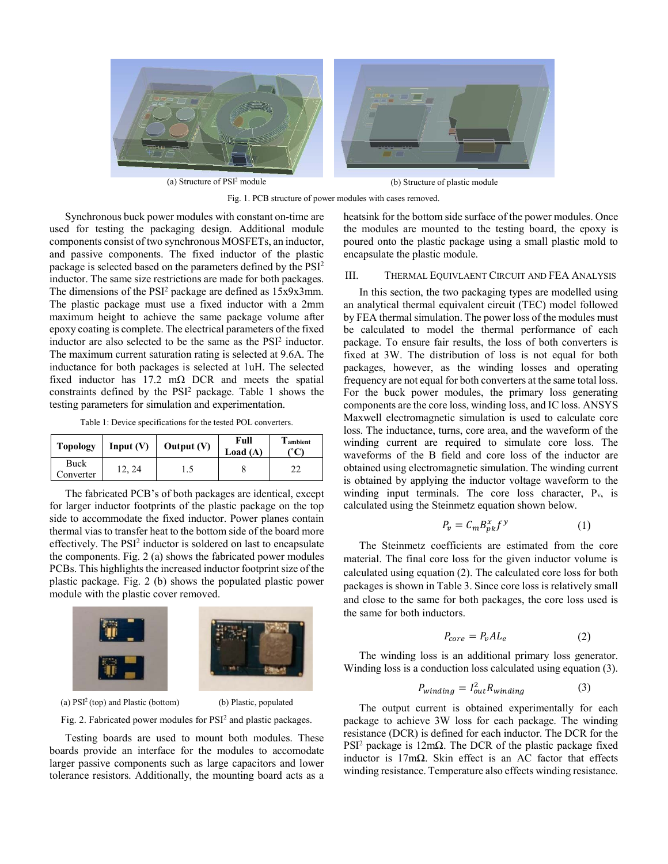

Fig. 1. PCB structure of power modules with cases removed.

Synchronous buck power modules with constant on-time are used for testing the packaging design. Additional module components consist of two synchronous MOSFETs, an inductor, and passive components. The fixed inductor of the plastic package is selected based on the parameters defined by the PSI2 inductor. The same size restrictions are made for both packages. The dimensions of the PSI<sup>2</sup> package are defined as 15x9x3mm. The plastic package must use a fixed inductor with a 2mm maximum height to achieve the same package volume after epoxy coating is complete. The electrical parameters of the fixed inductor are also selected to be the same as the PSI<sup>2</sup> inductor. The maximum current saturation rating is selected at 9.6A. The inductance for both packages is selected at 1uH. The selected fixed inductor has  $17.2 \text{ m}\Omega$  DCR and meets the spatial constraints defined by the PSI<sup>2</sup> package. Table 1 shows the testing parameters for simulation and experimentation.

Table 1: Device specifications for the tested POL converters.

| <b>Topology</b>   | Input $(V)$ | Output $(V)$ | Full<br>Load $(A)$ | <b>l</b> ambient |
|-------------------|-------------|--------------|--------------------|------------------|
| Buck<br>Converter | 2, 24       | L.)          |                    |                  |

The fabricated PCB's of both packages are identical, except for larger inductor footprints of the plastic package on the top side to accommodate the fixed inductor. Power planes contain thermal vias to transfer heat to the bottom side of the board more effectively. The PSI<sup>2</sup> inductor is soldered on last to encapsulate the components. Fig. 2 (a) shows the fabricated power modules PCBs. This highlights the increased inductor footprint size of the plastic package. Fig. 2 (b) shows the populated plastic power module with the plastic cover removed.



(a) PSI2 (top) and Plastic (bottom) (b) Plastic, populated

Fig. 2. Fabricated power modules for PSI2 and plastic packages.

Testing boards are used to mount both modules. These boards provide an interface for the modules to accomodate larger passive components such as large capacitors and lower tolerance resistors. Additionally, the mounting board acts as a

heatsink for the bottom side surface of the power modules. Once the modules are mounted to the testing board, the epoxy is poured onto the plastic package using a small plastic mold to encapsulate the plastic module.

## III. THERMAL EQUIVLAENT CIRCUIT AND FEA ANALYSIS

In this section, the two packaging types are modelled using an analytical thermal equivalent circuit (TEC) model followed by FEA thermal simulation. The power loss of the modules must be calculated to model the thermal performance of each package. To ensure fair results, the loss of both converters is fixed at 3W. The distribution of loss is not equal for both packages, however, as the winding losses and operating frequency are not equal for both converters at the same total loss. For the buck power modules, the primary loss generating components are the core loss, winding loss, and IC loss. ANSYS Maxwell electromagnetic simulation is used to calculate core loss. The inductance, turns, core area, and the waveform of the winding current are required to simulate core loss. The waveforms of the B field and core loss of the inductor are obtained using electromagnetic simulation. The winding current is obtained by applying the inductor voltage waveform to the winding input terminals. The core loss character,  $P_{v_2}$  is calculated using the Steinmetz equation shown below.

$$
P_v = C_m B_{pk}^x f^y \tag{1}
$$

The Steinmetz coefficients are estimated from the core material. The final core loss for the given inductor volume is calculated using equation (2). The calculated core loss for both packages is shown in Table 3. Since core loss is relatively small and close to the same for both packages, the core loss used is the same for both inductors.

$$
P_{core} = P_v A L_e \tag{2}
$$

The winding loss is an additional primary loss generator. Winding loss is a conduction loss calculated using equation (3).

$$
P_{winding} = I_{out}^2 R_{winding} \tag{3}
$$

The output current is obtained experimentally for each package to achieve 3W loss for each package. The winding resistance (DCR) is defined for each inductor. The DCR for the PSI<sup>2</sup> package is 12mΩ. The DCR of the plastic package fixed inductor is 17mΩ. Skin effect is an AC factor that effects winding resistance. Temperature also effects winding resistance.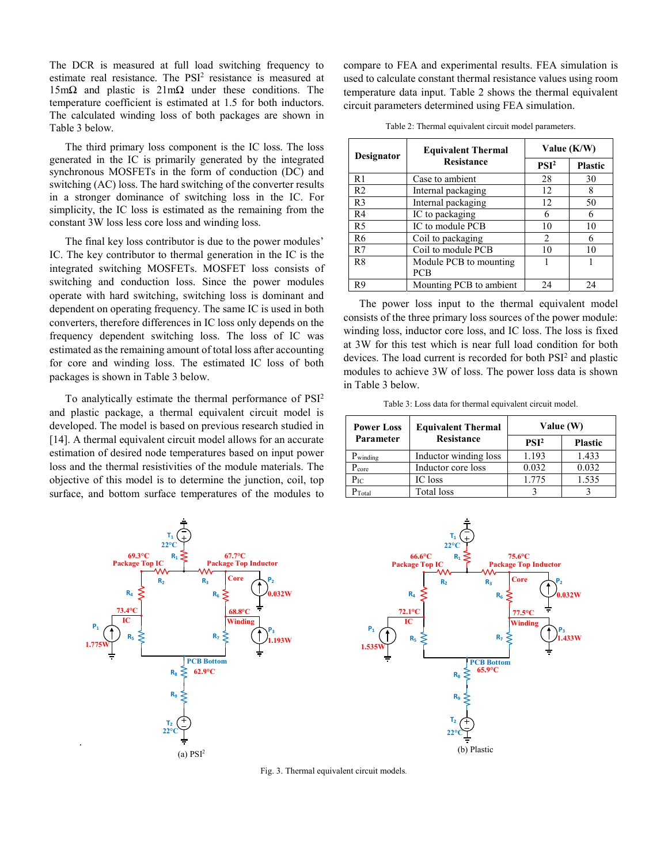The DCR is measured at full load switching frequency to estimate real resistance. The PSI<sup>2</sup> resistance is measured at 15mΩ and plastic is 21mΩ under these conditions. The temperature coefficient is estimated at 1.5 for both inductors. The calculated winding loss of both packages are shown in Table 3 below.

The third primary loss component is the IC loss. The loss generated in the IC is primarily generated by the integrated synchronous MOSFETs in the form of conduction (DC) and switching (AC) loss. The hard switching of the converter results in a stronger dominance of switching loss in the IC. For simplicity, the IC loss is estimated as the remaining from the constant 3W loss less core loss and winding loss.

The final key loss contributor is due to the power modules' IC. The key contributor to thermal generation in the IC is the integrated switching MOSFETs. MOSFET loss consists of switching and conduction loss. Since the power modules operate with hard switching, switching loss is dominant and dependent on operating frequency. The same IC is used in both converters, therefore differences in IC loss only depends on the frequency dependent switching loss. The loss of IC was estimated as the remaining amount of total loss after accounting for core and winding loss. The estimated IC loss of both packages is shown in Table 3 below.

To analytically estimate the thermal performance of PSI2 and plastic package, a thermal equivalent circuit model is developed. The model is based on previous research studied in [14]. A thermal equivalent circuit model allows for an accurate estimation of desired node temperatures based on input power loss and the thermal resistivities of the module materials. The objective of this model is to determine the junction, coil, top surface, and bottom surface temperatures of the modules to compare to FEA and experimental results. FEA simulation is used to calculate constant thermal resistance values using room temperature data input. Table 2 shows the thermal equivalent circuit parameters determined using FEA simulation.

| Designator     | <b>Equivalent Thermal</b> | Value (K/W)      |                |  |
|----------------|---------------------------|------------------|----------------|--|
|                | <b>Resistance</b>         | PSI <sup>2</sup> | <b>Plastic</b> |  |
| R <sub>1</sub> | Case to ambient           | 28               | 30             |  |
| R <sub>2</sub> | Internal packaging        | 12               | 8              |  |
| R <sub>3</sub> | Internal packaging        | 12               | 50             |  |
| R <sub>4</sub> | IC to packaging           | 6                | 6              |  |
| R <sub>5</sub> | IC to module PCB          | 10               | 10             |  |
| R6             | Coil to packaging         | 2                | 6              |  |
| R7             | Coil to module PCB        | 10               | 10             |  |
| R8             | Module PCB to mounting    |                  |                |  |
|                | <b>PCB</b>                |                  |                |  |
| R9             | Mounting PCB to ambient   | 24               | 24             |  |

Table 2: Thermal equivalent circuit model parameters.

The power loss input to the thermal equivalent model consists of the three primary loss sources of the power module: winding loss, inductor core loss, and IC loss. The loss is fixed at 3W for this test which is near full load condition for both devices. The load current is recorded for both PSI<sup>2</sup> and plastic modules to achieve 3W of loss. The power loss data is shown in Table 3 below.

Table 3: Loss data for thermal equivalent circuit model.

| <b>Power Loss</b> | <b>Equivalent Thermal</b> | Value (W)        |                |  |
|-------------------|---------------------------|------------------|----------------|--|
| Parameter         | <b>Resistance</b>         | PSI <sup>2</sup> | <b>Plastic</b> |  |
| $P_{winding}$     | Inductor winding loss     | 1.193            | 1.433          |  |
| Pcore             | Inductor core loss        | 0.032            | 0.032          |  |
| $P_{IC}$          | IC loss                   | 1.775            | 1.535          |  |
| Total             | Total loss                |                  |                |  |





Fig. 3. Thermal equivalent circuit models.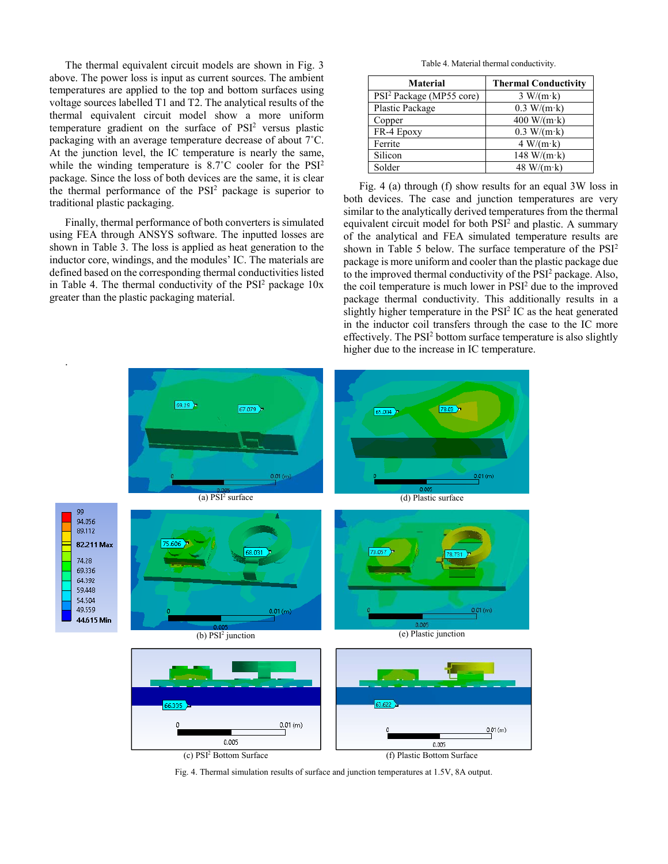The thermal equivalent circuit models are shown in Fig. 3 above. The power loss is input as current sources. The ambient temperatures are applied to the top and bottom surfaces using voltage sources labelled T1 and T2. The analytical results of the thermal equivalent circuit model show a more uniform temperature gradient on the surface of PSI<sup>2</sup> versus plastic packaging with an average temperature decrease of about 7˚C. At the junction level, the IC temperature is nearly the same, while the winding temperature is 8.7°C cooler for the PSI<sup>2</sup> package. Since the loss of both devices are the same, it is clear the thermal performance of the  $PSI<sup>2</sup>$  package is superior to traditional plastic packaging.

Finally, thermal performance of both converters is simulated using FEA through ANSYS software. The inputted losses are shown in Table 3. The loss is applied as heat generation to the inductor core, windings, and the modules' IC. The materials are defined based on the corresponding thermal conductivities listed in Table 4. The thermal conductivity of the  $PSI<sup>2</sup>$  package  $10x$ greater than the plastic packaging material.

Table 4. Material thermal conductivity.

| <b>Material</b>                      | <b>Thermal Conductivity</b> |
|--------------------------------------|-----------------------------|
| PSI <sup>2</sup> Package (MP55 core) | $3 W/(m \cdot k)$           |
| Plastic Package                      | $0.3 W/(m \cdot k)$         |
| Copper                               | $400 W/(m \cdot k)$         |
| FR-4 Epoxy                           | $0.3 W/(m \cdot k)$         |
| Ferrite                              | $4 W/(m \cdot k)$           |
| Silicon                              | 148 W/(m·k)                 |
| Solder                               | 48 W/(m·k)                  |

Fig. 4 (a) through (f) show results for an equal 3W loss in both devices. The case and junction temperatures are very similar to the analytically derived temperatures from the thermal equivalent circuit model for both PSI<sup>2</sup> and plastic. A summary of the analytical and FEA simulated temperature results are shown in Table 5 below. The surface temperature of the PSI<sup>2</sup> package is more uniform and cooler than the plastic package due to the improved thermal conductivity of the PSI<sup>2</sup> package. Also, the coil temperature is much lower in PSI2 due to the improved package thermal conductivity. This additionally results in a slightly higher temperature in the PSI<sup>2</sup> IC as the heat generated in the inductor coil transfers through the case to the IC more effectively. The PSI<sup>2</sup> bottom surface temperature is also slightly higher due to the increase in IC temperature.



Fig. 4. Thermal simulation results of surface and junction temperatures at 1.5V, 8A output.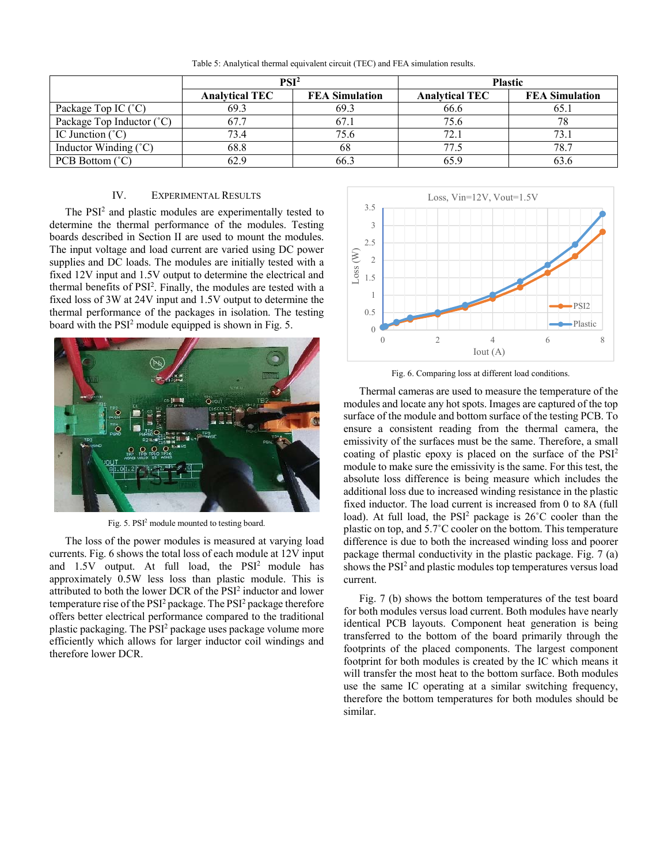|                                    | PSI <sup>2</sup>      |                       | <b>Plastic</b>        |                       |  |
|------------------------------------|-----------------------|-----------------------|-----------------------|-----------------------|--|
|                                    | <b>Analytical TEC</b> | <b>FEA Simulation</b> | <b>Analytical TEC</b> | <b>FEA Simulation</b> |  |
| Package Top IC (°C)                | 69.3                  | 69.3                  | 66.6                  | 65                    |  |
| Package Top Inductor $(^{\circ}C)$ | 67.7                  | 67.1                  | 75.6                  |                       |  |
| IC Junction $(^{\circ}C)$          | 73.4                  | 75.6                  | 72.1                  |                       |  |
| Inductor Winding (°C)              | 68.8                  | 08                    | 77 <sub>2</sub>       | 78.7                  |  |
| PCB Bottom $(^{\circ}C)$           | 62.9                  | 66.3                  | 65.9                  |                       |  |

Table 5: Analytical thermal equivalent circuit (TEC) and FEA simulation results.

## IV. EXPERIMENTAL RESULTS

The PSI<sup>2</sup> and plastic modules are experimentally tested to determine the thermal performance of the modules. Testing boards described in Section II are used to mount the modules. The input voltage and load current are varied using DC power supplies and DC loads. The modules are initially tested with a fixed 12V input and 1.5V output to determine the electrical and thermal benefits of PSI<sup>2</sup>. Finally, the modules are tested with a fixed loss of 3W at 24V input and 1.5V output to determine the thermal performance of the packages in isolation. The testing board with the PSI<sup>2</sup> module equipped is shown in Fig. 5.



Fig. 5. PSI<sup>2</sup> module mounted to testing board.

The loss of the power modules is measured at varying load currents. Fig. 6 shows the total loss of each module at 12V input and 1.5V output. At full load, the PSI<sup>2</sup> module has approximately 0.5W less loss than plastic module. This is attributed to both the lower DCR of the PSI<sup>2</sup> inductor and lower temperature rise of the PSI<sup>2</sup> package. The PSI<sup>2</sup> package therefore offers better electrical performance compared to the traditional plastic packaging. The PSI<sup>2</sup> package uses package volume more efficiently which allows for larger inductor coil windings and therefore lower DCR.



Fig. 6. Comparing loss at different load conditions.

Thermal cameras are used to measure the temperature of the modules and locate any hot spots. Images are captured of the top surface of the module and bottom surface of the testing PCB. To ensure a consistent reading from the thermal camera, the emissivity of the surfaces must be the same. Therefore, a small coating of plastic epoxy is placed on the surface of the PSI2 module to make sure the emissivity is the same. For this test, the absolute loss difference is being measure which includes the additional loss due to increased winding resistance in the plastic fixed inductor. The load current is increased from 0 to 8A (full load). At full load, the  $PSI<sup>2</sup>$  package is  $26^{\circ}$ C cooler than the plastic on top, and 5.7˚C cooler on the bottom. This temperature difference is due to both the increased winding loss and poorer package thermal conductivity in the plastic package. Fig. 7 (a) shows the PSI<sup>2</sup> and plastic modules top temperatures versus load current.

Fig. 7 (b) shows the bottom temperatures of the test board for both modules versus load current. Both modules have nearly identical PCB layouts. Component heat generation is being transferred to the bottom of the board primarily through the footprints of the placed components. The largest component footprint for both modules is created by the IC which means it will transfer the most heat to the bottom surface. Both modules use the same IC operating at a similar switching frequency, therefore the bottom temperatures for both modules should be similar.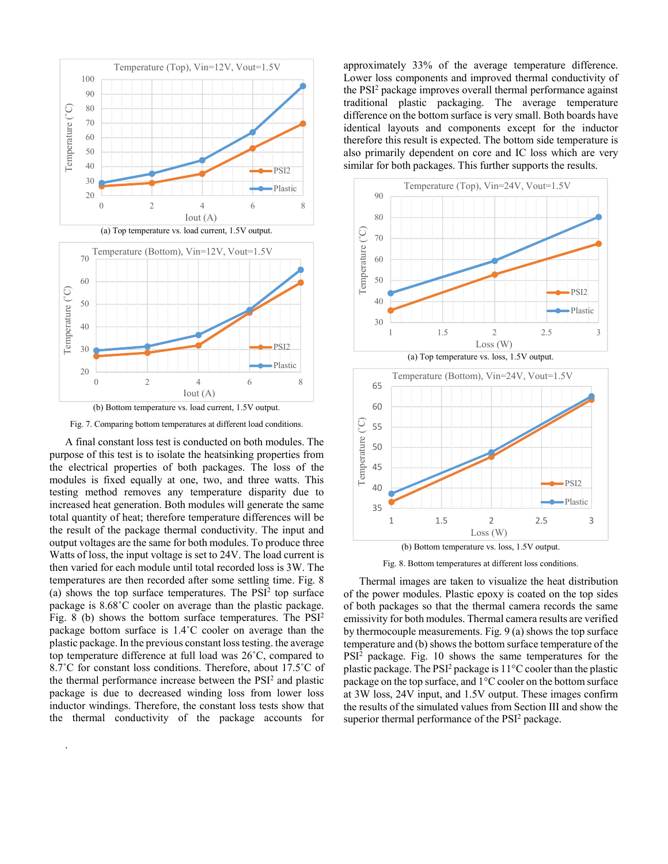

Fig. 7. Comparing bottom temperatures at different load conditions.

A final constant loss test is conducted on both modules. The purpose of this test is to isolate the heatsinking properties from the electrical properties of both packages. The loss of the modules is fixed equally at one, two, and three watts. This testing method removes any temperature disparity due to increased heat generation. Both modules will generate the same total quantity of heat; therefore temperature differences will be the result of the package thermal conductivity. The input and output voltages are the same for both modules. To produce three Watts of loss, the input voltage is set to 24V. The load current is then varied for each module until total recorded loss is 3W. The temperatures are then recorded after some settling time. Fig. 8 (a) shows the top surface temperatures. The  $PSI<sup>2</sup>$  top surface package is 8.68˚C cooler on average than the plastic package. Fig. 8 (b) shows the bottom surface temperatures. The PSI2 package bottom surface is 1.4˚C cooler on average than the plastic package. In the previous constant loss testing. the average top temperature difference at full load was 26˚C, compared to 8.7°C for constant loss conditions. Therefore, about 17.5°C of the thermal performance increase between the PSI<sup>2</sup> and plastic package is due to decreased winding loss from lower loss inductor windings. Therefore, the constant loss tests show that the thermal conductivity of the package accounts for

.

approximately 33% of the average temperature difference. Lower loss components and improved thermal conductivity of the PSI<sup>2</sup> package improves overall thermal performance against traditional plastic packaging. The average temperature difference on the bottom surface is very small. Both boards have identical layouts and components except for the inductor therefore this result is expected. The bottom side temperature is also primarily dependent on core and IC loss which are very similar for both packages. This further supports the results.



Fig. 8. Bottom temperatures at different loss conditions.

 Thermal images are taken to visualize the heat distribution of the power modules. Plastic epoxy is coated on the top sides of both packages so that the thermal camera records the same emissivity for both modules. Thermal camera results are verified by thermocouple measurements. Fig. 9 (a) shows the top surface temperature and (b) shows the bottom surface temperature of the PSI<sup>2</sup> package. Fig. 10 shows the same temperatures for the plastic package. The PSI<sup>2</sup> package is 11°C cooler than the plastic package on the top surface, and 1°C cooler on the bottom surface at 3W loss, 24V input, and 1.5V output. These images confirm the results of the simulated values from Section III and show the superior thermal performance of the  $PSI<sup>2</sup>$  package.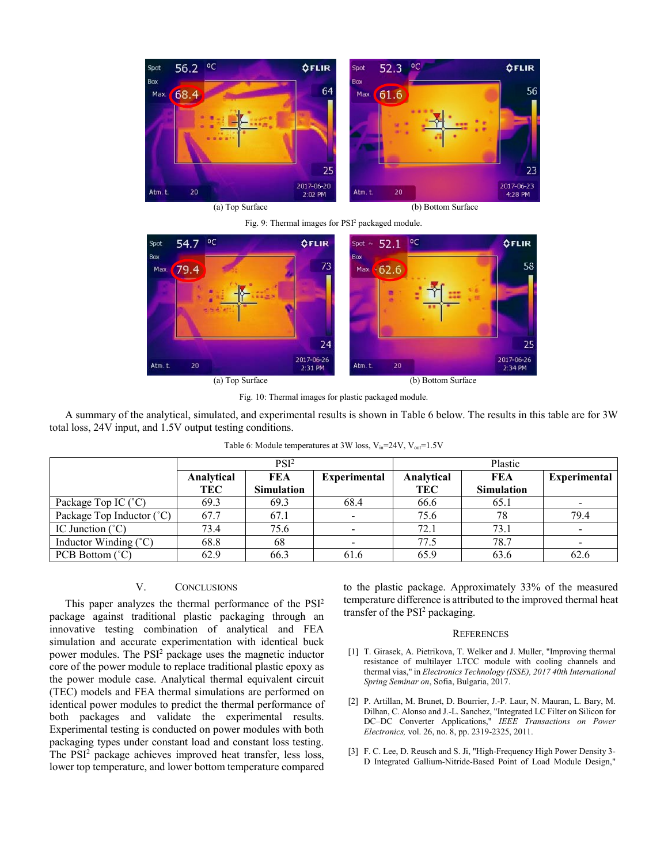

Fig. 9: Thermal images for PSI<sup>2</sup> packaged module.



Fig. 10: Thermal images for plastic packaged module.

A summary of the analytical, simulated, and experimental results is shown in Table 6 below. The results in this table are for 3W total loss, 24V input, and 1.5V output testing conditions.

|                                | PSI <sup>2</sup> |                   | Plastic             |            |                   |              |
|--------------------------------|------------------|-------------------|---------------------|------------|-------------------|--------------|
|                                | Analytical       | <b>FEA</b>        | <b>Experimental</b> | Analytical | <b>FEA</b>        | Experimental |
|                                | <b>TEC</b>       | <b>Simulation</b> |                     | TEC        | <b>Simulation</b> |              |
| Package Top IC (°C)            | 69.3             | 69.3              | 68.4                | 66.6       | 65.1              |              |
| Package Top Inductor (°C)      | 67.7             | 67.1              |                     | 75.6       | 78                | 79.4         |
| IC Junction $(^{\circ}C)$      | 73.4             | 75.6              |                     | 72.1       | 73.1              |              |
| Inductor Winding $(^{\circ}C)$ | 68.8             | 68                |                     | 77.5       | 78.7              |              |
| PCB Bottom (°C)                | 62.9             | 66.3              | 61.6                | 65.9       | 63.6              | 62.6         |

| Table 6: Module temperatures at 3W loss, $V_{in}$ =24V, $V_{out}$ =1.5V |  |  |  |  |
|-------------------------------------------------------------------------|--|--|--|--|
|-------------------------------------------------------------------------|--|--|--|--|

## V. CONCLUSIONS

This paper analyzes the thermal performance of the PSI2 package against traditional plastic packaging through an innovative testing combination of analytical and FEA simulation and accurate experimentation with identical buck power modules. The PSI<sup>2</sup> package uses the magnetic inductor core of the power module to replace traditional plastic epoxy as the power module case. Analytical thermal equivalent circuit (TEC) models and FEA thermal simulations are performed on identical power modules to predict the thermal performance of both packages and validate the experimental results. Experimental testing is conducted on power modules with both packaging types under constant load and constant loss testing. The PSI<sup>2</sup> package achieves improved heat transfer, less loss, lower top temperature, and lower bottom temperature compared

to the plastic package. Approximately 33% of the measured temperature difference is attributed to the improved thermal heat transfer of the PSI<sup>2</sup> packaging.

## **REFERENCES**

- [1] T. Girasek, A. Pietrikova, T. Welker and J. Muller, "Improving thermal resistance of multilayer LTCC module with cooling channels and thermal vias," in *Electronics Technology (ISSE), 2017 40th International Spring Seminar on*, Sofia, Bulgaria, 2017.
- [2] P. Artillan, M. Brunet, D. Bourrier, J.-P. Laur, N. Mauran, L. Bary, M. Dilhan, C. Alonso and J.-L. Sanchez, "Integrated LC Filter on Silicon for DC–DC Converter Applications," *IEEE Transactions on Power Electronics,* vol. 26, no. 8, pp. 2319-2325, 2011.
- [3] F. C. Lee, D. Reusch and S. Ji, "High-Frequency High Power Density 3-D Integrated Gallium-Nitride-Based Point of Load Module Design,"